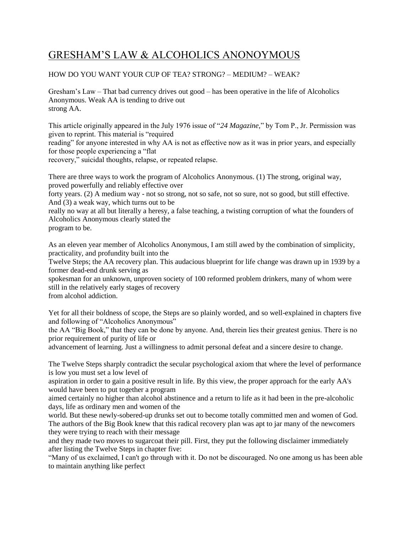## GRESHAM'S LAW & ALCOHOLICS ANONOYMOUS

## HOW DO YOU WANT YOUR CUP OF TEA? STRONG? – MEDIUM? – WEAK?

Gresham's Law – That bad currency drives out good – has been operative in the life of Alcoholics Anonymous. Weak AA is tending to drive out strong AA.

This article originally appeared in the July 1976 issue of "*24 Magazine,*" by Tom P., Jr. Permission was given to reprint. This material is "required

reading" for anyone interested in why AA is not as effective now as it was in prior years, and especially for those people experiencing a "flat

recovery," suicidal thoughts, relapse, or repeated relapse.

There are three ways to work the program of Alcoholics Anonymous. (1) The strong, original way, proved powerfully and reliably effective over

forty years. (2) A medium way - not so strong, not so safe, not so sure, not so good, but still effective. And (3) a weak way, which turns out to be

really no way at all but literally a heresy, a false teaching, a twisting corruption of what the founders of Alcoholics Anonymous clearly stated the

program to be.

As an eleven year member of Alcoholics Anonymous, I am still awed by the combination of simplicity, practicality, and profundity built into the

Twelve Steps; the AA recovery plan. This audacious blueprint for life change was drawn up in 1939 by a former dead-end drunk serving as

spokesman for an unknown, unproven society of 100 reformed problem drinkers, many of whom were still in the relatively early stages of recovery

from alcohol addiction.

Yet for all their boldness of scope, the Steps are so plainly worded, and so well-explained in chapters five and following of "Alcoholics Anonymous"

the AA "Big Book," that they can be done by anyone. And, therein lies their greatest genius. There is no prior requirement of purity of life or

advancement of learning. Just a willingness to admit personal defeat and a sincere desire to change.

The Twelve Steps sharply contradict the secular psychological axiom that where the level of performance is low you must set a low level of

aspiration in order to gain a positive result in life. By this view, the proper approach for the early AA's would have been to put together a program

aimed certainly no higher than alcohol abstinence and a return to life as it had been in the pre-alcoholic days, life as ordinary men and women of the

world. But these newly-sobered-up drunks set out to become totally committed men and women of God. The authors of the Big Book knew that this radical recovery plan was apt to jar many of the newcomers they were trying to reach with their message

and they made two moves to sugarcoat their pill. First, they put the following disclaimer immediately after listing the Twelve Steps in chapter five:

"Many of us exclaimed, I can't go through with it. Do not be discouraged. No one among us has been able to maintain anything like perfect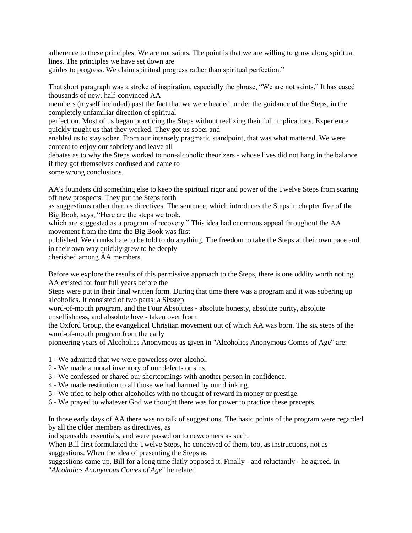adherence to these principles. We are not saints. The point is that we are willing to grow along spiritual lines. The principles we have set down are

guides to progress. We claim spiritual progress rather than spiritual perfection."

That short paragraph was a stroke of inspiration, especially the phrase, "We are not saints." It has eased thousands of new, half-convinced AA

members (myself included) past the fact that we were headed, under the guidance of the Steps, in the completely unfamiliar direction of spiritual

perfection. Most of us began practicing the Steps without realizing their full implications. Experience quickly taught us that they worked. They got us sober and

enabled us to stay sober. From our intensely pragmatic standpoint, that was what mattered. We were content to enjoy our sobriety and leave all

debates as to why the Steps worked to non-alcoholic theorizers - whose lives did not hang in the balance if they got themselves confused and came to

some wrong conclusions.

AA's founders did something else to keep the spiritual rigor and power of the Twelve Steps from scaring off new prospects. They put the Steps forth

as suggestions rather than as directives. The sentence, which introduces the Steps in chapter five of the Big Book, says, "Here are the steps we took,

which are suggested as a program of recovery." This idea had enormous appeal throughout the AA movement from the time the Big Book was first

published. We drunks hate to be told to do anything. The freedom to take the Steps at their own pace and in their own way quickly grew to be deeply

cherished among AA members.

Before we explore the results of this permissive approach to the Steps, there is one oddity worth noting. AA existed for four full years before the

Steps were put in their final written form. During that time there was a program and it was sobering up alcoholics. It consisted of two parts: a Sixstep

word-of-mouth program, and the Four Absolutes - absolute honesty, absolute purity, absolute unselfishness, and absolute love - taken over from

the Oxford Group, the evangelical Christian movement out of which AA was born. The six steps of the word-of-mouth program from the early

pioneering years of Alcoholics Anonymous as given in "Alcoholics Anonymous Comes of Age" are:

- 1 We admitted that we were powerless over alcohol.
- 2 We made a moral inventory of our defects or sins.
- 3 We confessed or shared our shortcomings with another person in confidence.
- 4 We made restitution to all those we had harmed by our drinking.
- 5 We tried to help other alcoholics with no thought of reward in money or prestige.
- 6 We prayed to whatever God we thought there was for power to practice these precepts.

In those early days of AA there was no talk of suggestions. The basic points of the program were regarded by all the older members as directives, as

indispensable essentials, and were passed on to newcomers as such.

When Bill first formulated the Twelve Steps, he conceived of them, too, as instructions, not as suggestions. When the idea of presenting the Steps as

suggestions came up, Bill for a long time flatly opposed it. Finally - and reluctantly - he agreed. In "*Alcoholics Anonymous Comes of Age*" he related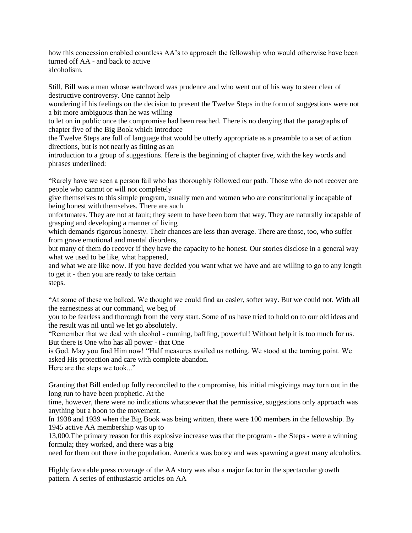how this concession enabled countless AA's to approach the fellowship who would otherwise have been turned off AA - and back to active alcoholism.

Still, Bill was a man whose watchword was prudence and who went out of his way to steer clear of destructive controversy. One cannot help

wondering if his feelings on the decision to present the Twelve Steps in the form of suggestions were not a bit more ambiguous than he was willing

to let on in public once the compromise had been reached. There is no denying that the paragraphs of chapter five of the Big Book which introduce

the Twelve Steps are full of language that would be utterly appropriate as a preamble to a set of action directions, but is not nearly as fitting as an

introduction to a group of suggestions. Here is the beginning of chapter five, with the key words and phrases underlined:

"Rarely have we seen a person fail who has thoroughly followed our path. Those who do not recover are people who cannot or will not completely

give themselves to this simple program, usually men and women who are constitutionally incapable of being honest with themselves. There are such

unfortunates. They are not at fault; they seem to have been born that way. They are naturally incapable of grasping and developing a manner of living

which demands rigorous honesty. Their chances are less than average. There are those, too, who suffer from grave emotional and mental disorders,

but many of them do recover if they have the capacity to be honest. Our stories disclose in a general way what we used to be like, what happened,

and what we are like now. If you have decided you want what we have and are willing to go to any length to get it - then you are ready to take certain steps.

"At some of these we balked. We thought we could find an easier, softer way. But we could not. With all the earnestness at our command, we beg of

you to be fearless and thorough from the very start. Some of us have tried to hold on to our old ideas and the result was nil until we let go absolutely.

"Remember that we deal with alcohol - cunning, baffling, powerful! Without help it is too much for us. But there is One who has all power - that One

is God. May you find Him now! "Half measures availed us nothing. We stood at the turning point. We asked His protection and care with complete abandon.

Here are the steps we took..."

Granting that Bill ended up fully reconciled to the compromise, his initial misgivings may turn out in the long run to have been prophetic. At the

time, however, there were no indications whatsoever that the permissive, suggestions only approach was anything but a boon to the movement.

In 1938 and 1939 when the Big Book was being written, there were 100 members in the fellowship. By 1945 active AA membership was up to

13,000.The primary reason for this explosive increase was that the program - the Steps - were a winning formula; they worked, and there was a big

need for them out there in the population. America was boozy and was spawning a great many alcoholics.

Highly favorable press coverage of the AA story was also a major factor in the spectacular growth pattern. A series of enthusiastic articles on AA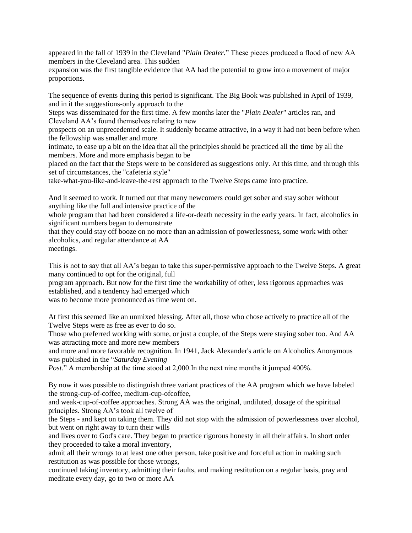appeared in the fall of 1939 in the Cleveland "*Plain Dealer.*" These pieces produced a flood of new AA members in the Cleveland area. This sudden

expansion was the first tangible evidence that AA had the potential to grow into a movement of major proportions.

The sequence of events during this period is significant. The Big Book was published in April of 1939, and in it the suggestions-only approach to the

Steps was disseminated for the first time. A few months later the "*Plain Dealer*" articles ran, and Cleveland AA's found themselves relating to new

prospects on an unprecedented scale. It suddenly became attractive, in a way it had not been before when the fellowship was smaller and more

intimate, to ease up a bit on the idea that all the principles should be practiced all the time by all the members. More and more emphasis began to be

placed on the fact that the Steps were to be considered as suggestions only. At this time, and through this set of circumstances, the "cafeteria style"

take-what-you-like-and-leave-the-rest approach to the Twelve Steps came into practice.

And it seemed to work. It turned out that many newcomers could get sober and stay sober without anything like the full and intensive practice of the

whole program that had been considered a life-or-death necessity in the early years. In fact, alcoholics in significant numbers began to demonstrate

that they could stay off booze on no more than an admission of powerlessness, some work with other alcoholics, and regular attendance at AA

meetings.

This is not to say that all AA's began to take this super-permissive approach to the Twelve Steps. A great many continued to opt for the original, full

program approach. But now for the first time the workability of other, less rigorous approaches was established, and a tendency had emerged which

was to become more pronounced as time went on.

At first this seemed like an unmixed blessing. After all, those who chose actively to practice all of the Twelve Steps were as free as ever to do so.

Those who preferred working with some, or just a couple, of the Steps were staying sober too. And AA was attracting more and more new members

and more and more favorable recognition. In 1941, Jack Alexander's article on Alcoholics Anonymous was published in the "*Saturday Evening*

*Post.*" A membership at the time stood at 2,000. In the next nine months it jumped 400%.

By now it was possible to distinguish three variant practices of the AA program which we have labeled the strong-cup-of-coffee, medium-cup-ofcoffee,

and weak-cup-of-coffee approaches. Strong AA was the original, undiluted, dosage of the spiritual principles. Strong AA's took all twelve of

the Steps - and kept on taking them. They did not stop with the admission of powerlessness over alcohol, but went on right away to turn their wills

and lives over to God's care. They began to practice rigorous honesty in all their affairs. In short order they proceeded to take a moral inventory,

admit all their wrongs to at least one other person, take positive and forceful action in making such restitution as was possible for those wrongs,

continued taking inventory, admitting their faults, and making restitution on a regular basis, pray and meditate every day, go to two or more AA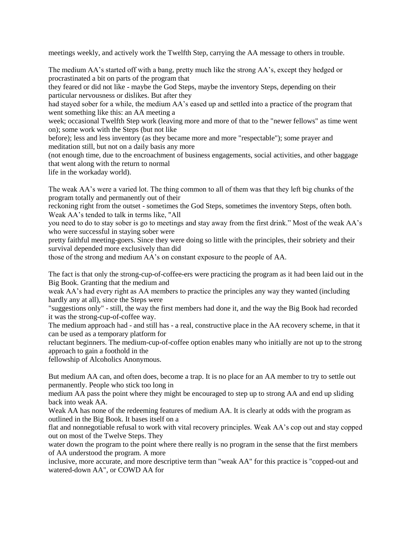meetings weekly, and actively work the Twelfth Step, carrying the AA message to others in trouble.

The medium AA's started off with a bang, pretty much like the strong AA's, except they hedged or procrastinated a bit on parts of the program that

they feared or did not like - maybe the God Steps, maybe the inventory Steps, depending on their particular nervousness or dislikes. But after they

had stayed sober for a while, the medium AA's eased up and settled into a practice of the program that went something like this: an AA meeting a

week; occasional Twelfth Step work (leaving more and more of that to the "newer fellows" as time went on); some work with the Steps (but not like

before); less and less inventory (as they became more and more "respectable"); some prayer and meditation still, but not on a daily basis any more

(not enough time, due to the encroachment of business engagements, social activities, and other baggage that went along with the return to normal

life in the workaday world).

The weak AA's were a varied lot. The thing common to all of them was that they left big chunks of the program totally and permanently out of their

reckoning right from the outset - sometimes the God Steps, sometimes the inventory Steps, often both. Weak AA's tended to talk in terms like, "All

you need to do to stay sober is go to meetings and stay away from the first drink." Most of the weak AA's who were successful in staying sober were

pretty faithful meeting-goers. Since they were doing so little with the principles, their sobriety and their survival depended more exclusively than did

those of the strong and medium AA's on constant exposure to the people of AA.

The fact is that only the strong-cup-of-coffee-ers were practicing the program as it had been laid out in the Big Book. Granting that the medium and

weak AA's had every right as AA members to practice the principles any way they wanted (including hardly any at all), since the Steps were

"suggestions only" - still, the way the first members had done it, and the way the Big Book had recorded it was the strong-cup-of-coffee way.

The medium approach had - and still has - a real, constructive place in the AA recovery scheme, in that it can be used as a temporary platform for

reluctant beginners. The medium-cup-of-coffee option enables many who initially are not up to the strong approach to gain a foothold in the

fellowship of Alcoholics Anonymous.

But medium AA can, and often does, become a trap. It is no place for an AA member to try to settle out permanently. People who stick too long in

medium AA pass the point where they might be encouraged to step up to strong AA and end up sliding back into weak AA.

Weak AA has none of the redeeming features of medium AA. It is clearly at odds with the program as outlined in the Big Book. It bases itself on a

flat and nonnegotiable refusal to work with vital recovery principles. Weak AA's cop out and stay copped out on most of the Twelve Steps. They

water down the program to the point where there really is no program in the sense that the first members of AA understood the program. A more

inclusive, more accurate, and more descriptive term than "weak AA" for this practice is "copped-out and watered-down AA", or COWD AA for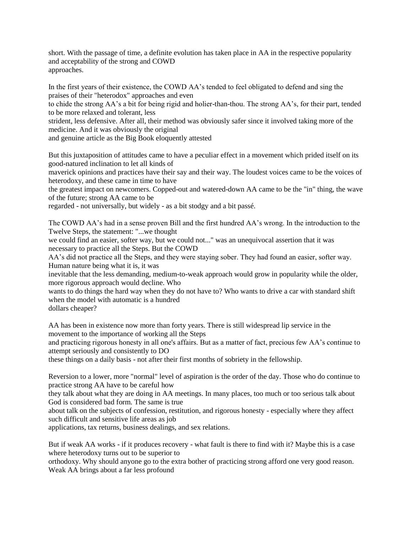short. With the passage of time, a definite evolution has taken place in AA in the respective popularity and acceptability of the strong and COWD approaches.

In the first years of their existence, the COWD AA's tended to feel obligated to defend and sing the praises of their "heterodox" approaches and even

to chide the strong AA's a bit for being rigid and holier-than-thou. The strong AA's, for their part, tended to be more relaxed and tolerant, less

strident, less defensive. After all, their method was obviously safer since it involved taking more of the medicine. And it was obviously the original

and genuine article as the Big Book eloquently attested

But this juxtaposition of attitudes came to have a peculiar effect in a movement which prided itself on its good-natured inclination to let all kinds of

maverick opinions and practices have their say and their way. The loudest voices came to be the voices of heterodoxy, and these came in time to have

the greatest impact on newcomers. Copped-out and watered-down AA came to be the "in" thing, the wave of the future; strong AA came to be

regarded - not universally, but widely - as a bit stodgy and a bit passé.

The COWD AA's had in a sense proven Bill and the first hundred AA's wrong. In the introduction to the Twelve Steps, the statement: "...we thought

we could find an easier, softer way, but we could not..." was an unequivocal assertion that it was necessary to practice all the Steps. But the COWD

AA's did not practice all the Steps, and they were staying sober. They had found an easier, softer way. Human nature being what it is, it was

inevitable that the less demanding, medium-to-weak approach would grow in popularity while the older, more rigorous approach would decline. Who

wants to do things the hard way when they do not have to? Who wants to drive a car with standard shift when the model with automatic is a hundred

dollars cheaper?

AA has been in existence now more than forty years. There is still widespread lip service in the movement to the importance of working all the Steps

and practicing rigorous honesty in all one's affairs. But as a matter of fact, precious few AA's continue to attempt seriously and consistently to DO

these things on a daily basis - not after their first months of sobriety in the fellowship.

Reversion to a lower, more "normal" level of aspiration is the order of the day. Those who do continue to practice strong AA have to be careful how

they talk about what they are doing in AA meetings. In many places, too much or too serious talk about God is considered bad form. The same is true

about talk on the subjects of confession, restitution, and rigorous honesty - especially where they affect such difficult and sensitive life areas as job

applications, tax returns, business dealings, and sex relations.

But if weak AA works - if it produces recovery - what fault is there to find with it? Maybe this is a case where heterodoxy turns out to be superior to

orthodoxy. Why should anyone go to the extra bother of practicing strong afford one very good reason. Weak AA brings about a far less profound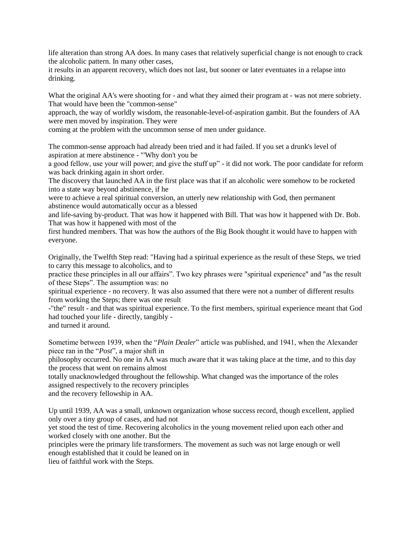life alteration than strong AA does. In many cases that relatively superficial change is not enough to crack the alcoholic pattern. In many other cases,

it results in an apparent recovery, which does not last, but sooner or later eventuates in a relapse into drinking.

What the original AA's were shooting for - and what they aimed their program at - was not mere sobriety. That would have been the "common-sense"

approach, the way of worldly wisdom, the reasonable-level-of-aspiration gambit. But the founders of AA were men moved by inspiration. They were

coming at the problem with the uncommon sense of men under guidance.

The common-sense approach had already been tried and it had failed. If you set a drunk's level of aspiration at mere abstinence - "'Why don't you be

a good fellow, use your will power; and give the stuff up" - it did not work. The poor candidate for reform was back drinking again in short order.

The discovery that launched AA in the first place was that if an alcoholic were somehow to be rocketed into a state way beyond abstinence, if he

were to achieve a real spiritual conversion, an utterly new relationship with God, then permanent abstinence would automatically occur as a blessed

and life-saving by-product. That was how it happened with Bill. That was how it happened with Dr. Bob. That was how it happened with most of the

first hundred members. That was how the authors of the Big Book thought it would have to happen with everyone.

Originally, the Twelfth Step read: "Having had a spiritual experience as the result of these Steps, we tried to carry this message to alcoholics, and to

practice these principles in all our affairs". Two key phrases were "spiritual experience" and "as the result of these Steps". The assumption was: no

spiritual experience - no recovery. It was also assumed that there were not a number of different results from working the Steps; there was one result

-"the" result - and that was spiritual experience. To the first members, spiritual experience meant that God had touched your life - directly, tangibly and turned it around.

Sometime between 1939, when the "*Plain Dealer*" article was published, and 1941, when the Alexander piece ran in the "*Post*", a major shift in

philosophy occurred. No one in AA was much aware that it was taking place at the time, and to this day the process that went on remains almost

totally unacknowledged throughout the fellowship. What changed was the importance of the roles assigned respectively to the recovery principles

and the recovery fellowship in AA.

Up until 1939, AA was a small, unknown organization whose success record, though excellent, applied only over a tiny group of cases, and had not

yet stood the test of time. Recovering alcoholics in the young movement relied upon each other and worked closely with one another. But the

principles were the primary life transformers. The movement as such was not large enough or well enough established that it could be leaned on in

lieu of faithful work with the Steps.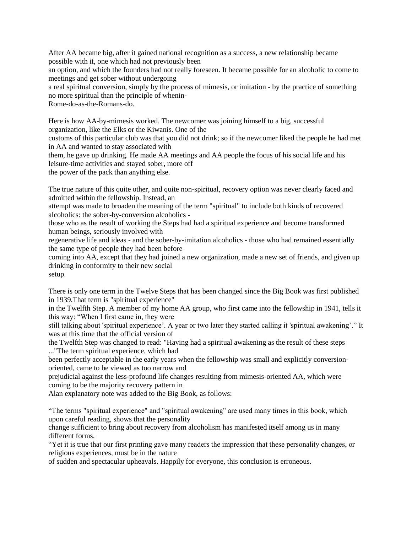After AA became big, after it gained national recognition as a success, a new relationship became possible with it, one which had not previously been an option, and which the founders had not really foreseen. It became possible for an alcoholic to come to meetings and get sober without undergoing a real spiritual conversion, simply by the process of mimesis, or imitation - by the practice of something no more spiritual than the principle of whenin-

Rome-do-as-the-Romans-do.

Here is how AA-by-mimesis worked. The newcomer was joining himself to a big, successful organization, like the Elks or the Kiwanis. One of the

customs of this particular club was that you did not drink; so if the newcomer liked the people he had met in AA and wanted to stay associated with

them, he gave up drinking. He made AA meetings and AA people the focus of his social life and his leisure-time activities and stayed sober, more off

the power of the pack than anything else.

The true nature of this quite other, and quite non-spiritual, recovery option was never clearly faced and admitted within the fellowship. Instead, an

attempt was made to broaden the meaning of the term "spiritual" to include both kinds of recovered alcoholics: the sober-by-conversion alcoholics -

those who as the result of working the Steps had had a spiritual experience and become transformed human beings, seriously involved with

regenerative life and ideas - and the sober-by-imitation alcoholics - those who had remained essentially the same type of people they had been before

coming into AA, except that they had joined a new organization, made a new set of friends, and given up drinking in conformity to their new social

setup.

There is only one term in the Twelve Steps that has been changed since the Big Book was first published in 1939.That term is "spiritual experience"

in the Twelfth Step. A member of my home AA group, who first came into the fellowship in 1941, tells it this way: "When I first came in, they were

still talking about 'spiritual experience'. A year or two later they started calling it 'spiritual awakening'." It was at this time that the official version of

the Twelfth Step was changed to read: "Having had a spiritual awakening as the result of these steps ..."The term spiritual experience, which had

been perfectly acceptable in the early years when the fellowship was small and explicitly conversionoriented, came to be viewed as too narrow and

prejudicial against the less-profound life changes resulting from mimesis-oriented AA, which were coming to be the majority recovery pattern in

Alan explanatory note was added to the Big Book, as follows:

"The terms "spiritual experience" and "spiritual awakening" are used many times in this book, which upon careful reading, shows that the personality

change sufficient to bring about recovery from alcoholism has manifested itself among us in many different forms.

"Yet it is true that our first printing gave many readers the impression that these personality changes, or religious experiences, must be in the nature

of sudden and spectacular upheavals. Happily for everyone, this conclusion is erroneous.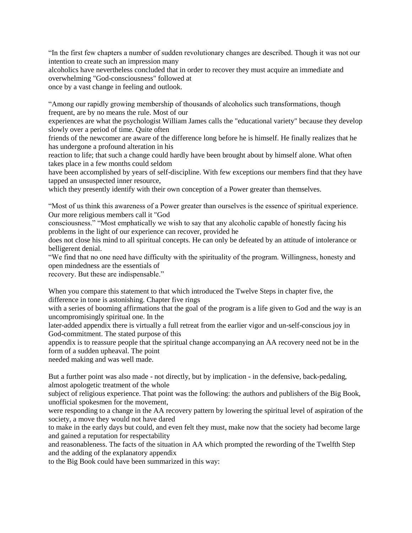"In the first few chapters a number of sudden revolutionary changes are described. Though it was not our intention to create such an impression many alcoholics have nevertheless concluded that in order to recover they must acquire an immediate and overwhelming "God-consciousness" followed at

once by a vast change in feeling and outlook.

"Among our rapidly growing membership of thousands of alcoholics such transformations, though frequent, are by no means the rule. Most of our

experiences are what the psychologist William James calls the "educational variety" because they develop slowly over a period of time. Quite often

friends of the newcomer are aware of the difference long before he is himself. He finally realizes that he has undergone a profound alteration in his

reaction to life; that such a change could hardly have been brought about by himself alone. What often takes place in a few months could seldom

have been accomplished by years of self-discipline. With few exceptions our members find that they have tapped an unsuspected inner resource,

which they presently identify with their own conception of a Power greater than themselves.

"Most of us think this awareness of a Power greater than ourselves is the essence of spiritual experience. Our more religious members call it "God

consciousness." "Most emphatically we wish to say that any alcoholic capable of honestly facing his problems in the light of our experience can recover, provided he

does not close his mind to all spiritual concepts. He can only be defeated by an attitude of intolerance or belligerent denial.

"We find that no one need have difficulty with the spirituality of the program. Willingness, honesty and open mindedness are the essentials of

recovery. But these are indispensable."

When you compare this statement to that which introduced the Twelve Steps in chapter five, the difference in tone is astonishing. Chapter five rings

with a series of booming affirmations that the goal of the program is a life given to God and the way is an uncompromisingly spiritual one. In the

later-added appendix there is virtually a full retreat from the earlier vigor and un-self-conscious joy in God-commitment. The stated purpose of this

appendix is to reassure people that the spiritual change accompanying an AA recovery need not be in the form of a sudden upheaval. The point

needed making and was well made.

But a further point was also made - not directly, but by implication - in the defensive, back-pedaling, almost apologetic treatment of the whole

subject of religious experience. That point was the following: the authors and publishers of the Big Book, unofficial spokesmen for the movement,

were responding to a change in the AA recovery pattern by lowering the spiritual level of aspiration of the society, a move they would not have dared

to make in the early days but could, and even felt they must, make now that the society had become large and gained a reputation for respectability

and reasonableness. The facts of the situation in AA which prompted the rewording of the Twelfth Step and the adding of the explanatory appendix

to the Big Book could have been summarized in this way: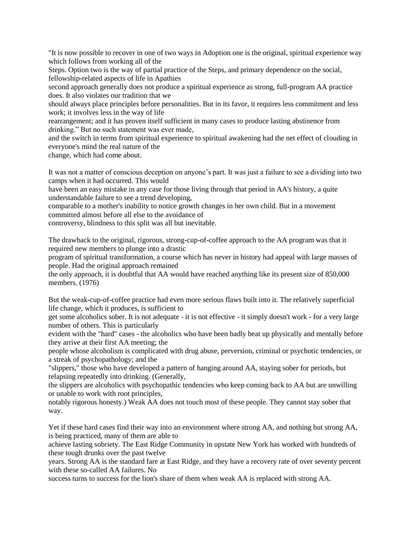"It is now possible to recover in one of two ways in Adoption one is the original, spiritual experience way which follows from working all of the

Steps. Option two is the way of partial practice of the Steps, and primary dependence on the social, fellowship-related aspects of life in Apathies

second approach generally does not produce a spiritual experience as strong, full-program AA practice does. It also violates our tradition that we

should always place principles before personalities. But in its favor, it requires less commitment and less work; it involves less in the way of life

rearrangement; and it has proven itself sufficient in many cases to produce lasting abstinence from drinking." But no such statement was ever made,

and the switch in terms from spiritual experience to spiritual awakening had the net effect of clouding in everyone's mind the real nature of the

change, which had come about.

It was not a matter of conscious deception on anyone's part. It was just a failure to see a dividing into two camps when it had occurred. This would

have been an easy mistake in any case for those living through that period in AA's history, a quite understandable failure to see a trend developing,

comparable to a mother's inability to notice growth changes in her own child. But in a movement committed almost before all else to the avoidance of

controversy, blindness to this split was all but inevitable.

The drawback to the original, rigorous, strong-cup-of-coffee approach to the AA program was that it required new members to plunge into a drastic

program of spiritual transformation, a course which has never in history had appeal with large masses of people. Had the original approach remained

the only approach, it is doubtful that AA would have reached anything like its present size of 850,000 members. (1976)

But the weak-cup-of-coffee practice had even more serious flaws built into it. The relatively superficial life change, which it produces, is sufficient to

get some alcoholics sober. It is not adequate - it is not effective - it simply doesn't work - for a very large number of others. This is particularly

evident with the "hard" cases - the alcoholics who have been badly beat up physically and mentally before they arrive at their first AA meeting; the

people whose alcoholism is complicated with drug abuse, perversion, criminal or psychotic tendencies, or a streak of psychopathology; and the

"slippers," those who have developed a pattern of hanging around AA, staying sober for periods, but relapsing repeatedly into drinking. (Generally,

the slippers are alcoholics with psychopathic tendencies who keep coming back to AA but are unwilling or unable to work with root principles,

notably rigorous honesty.) Weak AA does not touch most of these people. They cannot stay sober that way.

Yet if these hard cases find their way into an environment where strong AA, and nothing but strong AA, is being practiced, many of them are able to

achieve lasting sobriety. The East Ridge Community in upstate New York has worked with hundreds of these tough drunks over the past twelve

years. Strong AA is the standard fare at East Ridge, and they have a recovery rate of over seventy percent with these so-called AA failures. No

success turns to success for the lion's share of them when weak AA is replaced with strong AA.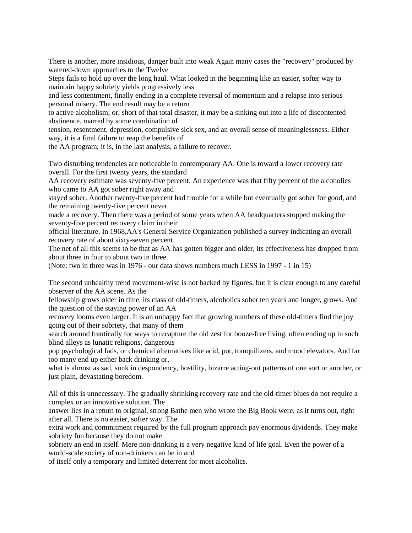There is another, more insidious, danger built into weak Again many cases the "recovery" produced by watered-down approaches to the Twelve

Steps fails to hold up over the long haul. What looked in the beginning like an easier, softer way to maintain happy sobriety yields progressively less

and less contentment, finally ending in a complete reversal of momentum and a relapse into serious personal misery. The end result may be a return

to active alcoholism; or, short of that total disaster, it may be a sinking out into a life of discontented abstinence, marred by some combination of

tension, resentment, depression, compulsive sick sex, and an overall sense of meaninglessness. Either way, it is a final failure to reap the benefits of

the AA program; it is, in the last analysis, a failure to recover.

Two disturbing tendencies are noticeable in contemporary AA. One is toward a lower recovery rate overall. For the first twenty years, the standard

AA recovery estimate was seventy-five percent. An experience was that fifty percent of the alcoholics who came to AA got sober right away and

stayed sober. Another twenty-five percent had trouble for a while but eventually got sober for good, and the remaining twenty-five percent never

made a recovery. Then there was a period of some years when AA headquarters stopped making the seventy-five percent recovery claim in their

official literature. In 1968,AA's General Service Organization published a survey indicating an overall recovery rate of about sixty-seven percent.

The net of all this seems to be that as AA has gotten bigger and older, its effectiveness has dropped from about three in four to about two in three.

(Note: two in three was in 1976 - our data shows numbers much LESS in 1997 - 1 in 15)

The second unhealthy trend movement-wise is not backed by figures, but it is clear enough to any careful observer of the AA scene. As the

fellowship grows older in time, its class of old-timers, alcoholics sober ten years and longer, grows. And the question of the staying power of an AA

recovery looms even larger. It is an unhappy fact that growing numbers of these old-timers find the joy going out of their sobriety, that many of them

search around frantically for ways to recapture the old zest for booze-free living, often ending up in such blind alleys as lunatic religions, dangerous

pop psychological fads, or chemical alternatives like acid, pot, tranquilizers, and mood elevators. And far too many end up either back drinking or,

what is almost as sad, sunk in despondency, hostility, bizarre acting-out patterns of one sort or another, or just plain, devastating boredom.

All of this is unnecessary. The gradually shrinking recovery rate and the old-timer blues do not require a complex or an innovative solution. The

answer lies in a return to original, strong Bathe men who wrote the Big Book were, as it turns out, right after all. There is no easier, softer way. The

extra work and commitment required by the full program approach pay enormous dividends. They make sobriety fun because they do not make

sobriety an end in itself. Mere non-drinking is a very negative kind of life goal. Even the power of a world-scale society of non-drinkers can be in and

of itself only a temporary and limited deterrent for most alcoholics.